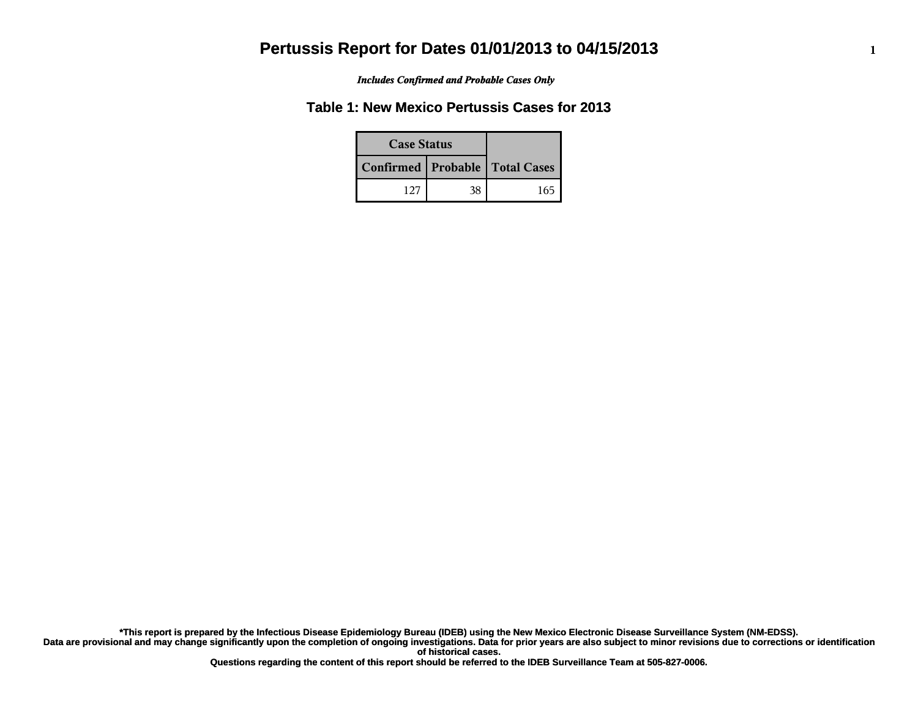*Includes Confirmed and Probable Cases Only*

## **Table 1: New Mexico Pertussis Cases for 2013**

| <b>Case Status</b> |                                    |     |
|--------------------|------------------------------------|-----|
|                    | Confirmed   Probable   Total Cases |     |
| 127                | 38                                 | 165 |

**Data are provisional and may change significantly upon the completion of ongoing investigations. Data for prior years are also subject to minor revisions due to corrections or identification of historical cases. \*This report is prepared by the Infectious Disease Epidemiology Bureau (IDEB) using the New Mexico Electronic Disease Surveillance System (NM-EDSS).**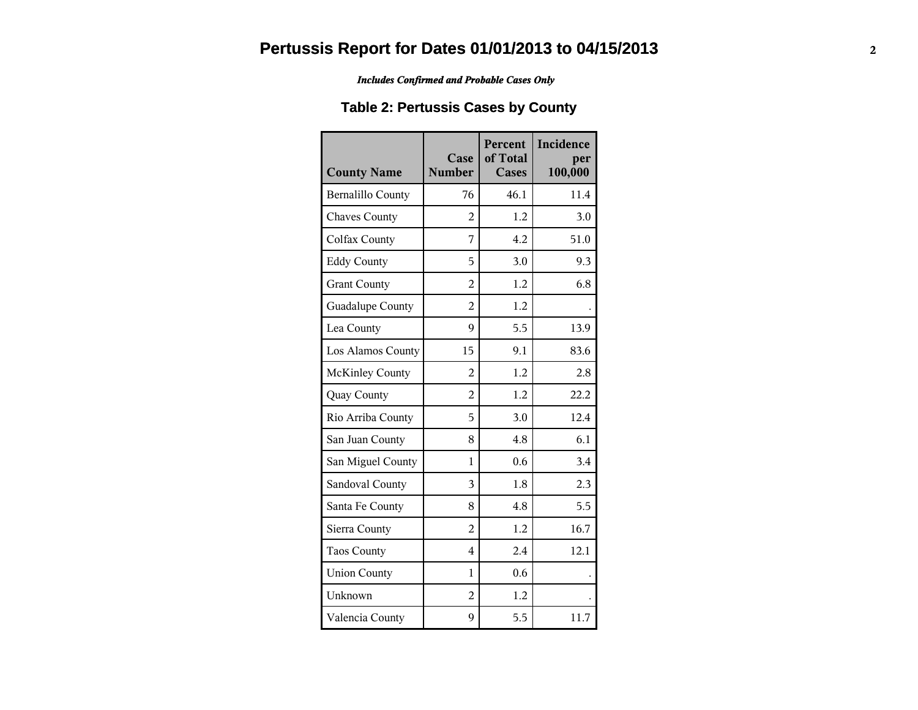#### *Includes Confirmed and Probable Cases Only*

## **Table 2: Pertussis Cases by County**

| <b>County Name</b>       | Case<br><b>Number</b> | Percent<br>of Total<br><b>Cases</b> | Incidence<br>per<br>100,000 |
|--------------------------|-----------------------|-------------------------------------|-----------------------------|
| <b>Bernalillo County</b> | 76                    | 46.1                                | 11.4                        |
| <b>Chaves County</b>     | $\overline{2}$        | 1.2                                 | 3.0                         |
| Colfax County            | 7                     | 4.2                                 | 51.0                        |
| <b>Eddy County</b>       | 5                     | 3.0                                 | 9.3                         |
| <b>Grant County</b>      | $\overline{2}$        | 1.2                                 | 6.8                         |
| Guadalupe County         | $\overline{2}$        | 1.2                                 |                             |
| Lea County               | 9                     | 5.5                                 | 13.9                        |
| Los Alamos County        | 15                    | 9.1                                 | 83.6                        |
| <b>McKinley County</b>   | $\overline{2}$        | 1.2                                 | 2.8                         |
| Quay County              | $\overline{2}$        | 1.2                                 | 22.2                        |
| Rio Arriba County        | 5                     | 3.0                                 | 12.4                        |
| San Juan County          | 8                     | 4.8                                 | 6.1                         |
| San Miguel County        | $\mathbf{1}$          | 0.6                                 | 3.4                         |
| Sandoval County          | 3                     | 1.8                                 | 2.3                         |
| Santa Fe County          | 8                     | 4.8                                 | 5.5                         |
| Sierra County            | $\overline{2}$        | 1.2                                 | 16.7                        |
| <b>Taos County</b>       | $\overline{4}$        | 2.4                                 | 12.1                        |
| <b>Union County</b>      | 1                     | 0.6                                 |                             |
| Unknown                  | $\overline{2}$        | 1.2                                 |                             |
| Valencia County          | 9                     | 5.5                                 | 11.7                        |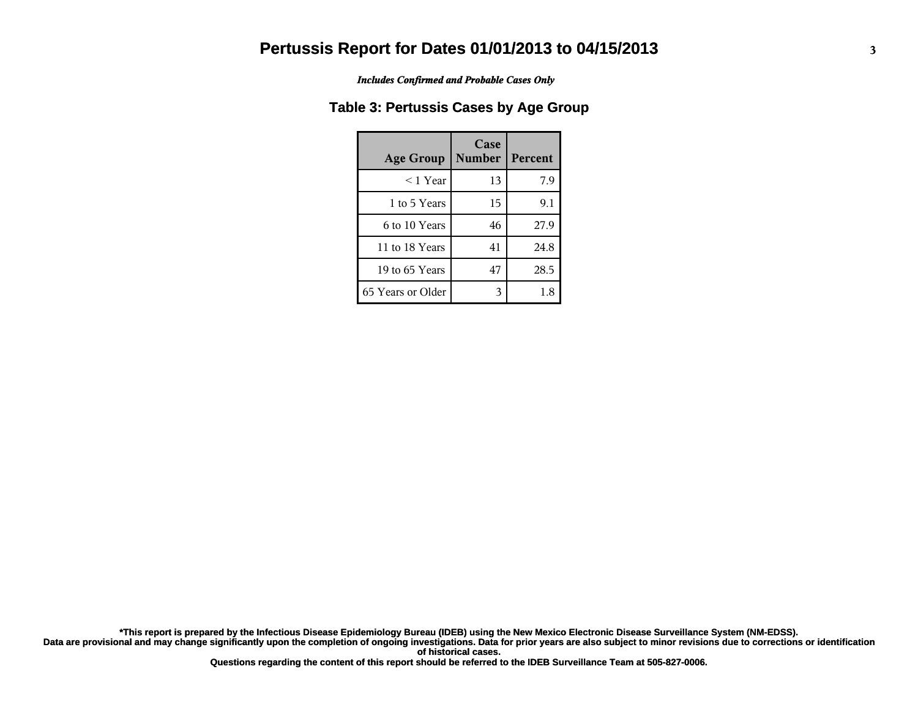*Includes Confirmed and Probable Cases Only*

### **Table 3: Pertussis Cases by Age Group**

| <b>Age Group</b>  | Case<br><b>Number</b> | Percent |
|-------------------|-----------------------|---------|
| $<$ 1 Year        | 13                    | 7.9     |
| 1 to 5 Years      | 15                    | 9.1     |
| 6 to 10 Years     | 46                    | 27.9    |
| 11 to 18 Years    | 41                    | 24.8    |
| 19 to 65 Years    | 47                    | 28.5    |
| 65 Years or Older | 3                     | 1.8     |

**Data are provisional and may change significantly upon the completion of ongoing investigations. Data for prior years are also subject to minor revisions due to corrections or identification of historical cases. \*This report is prepared by the Infectious Disease Epidemiology Bureau (IDEB) using the New Mexico Electronic Disease Surveillance System (NM-EDSS).**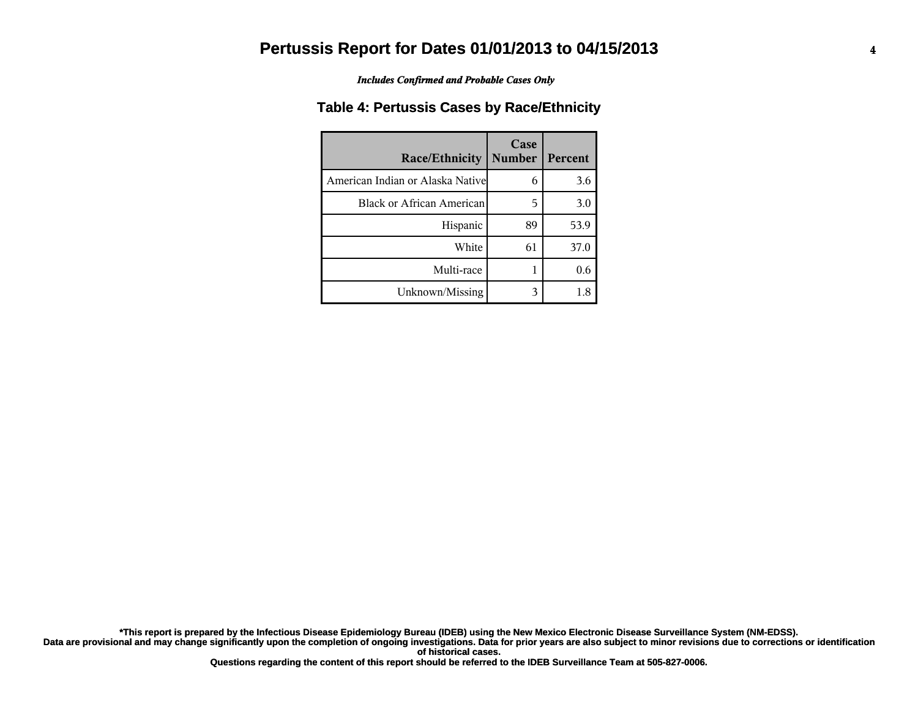*Includes Confirmed and Probable Cases Only*

#### **Table 4: Pertussis Cases by Race/Ethnicity**

| <b>Race/Ethnicity</b>             | Case<br><b>Number</b> | Percent |
|-----------------------------------|-----------------------|---------|
| American Indian or Alaska Nativel | 6                     | 3.6     |
| <b>Black or African American</b>  | 5                     | 3.0     |
| Hispanic                          | 89                    | 53.9    |
| White                             | 61                    | 37.0    |
| Multi-race                        |                       | 0.6     |
| Unknown/Missing                   |                       | 1.8     |

**Data are provisional and may change significantly upon the completion of ongoing investigations. Data for prior years are also subject to minor revisions due to corrections or identification of historical cases. \*This report is prepared by the Infectious Disease Epidemiology Bureau (IDEB) using the New Mexico Electronic Disease Surveillance System (NM-EDSS).**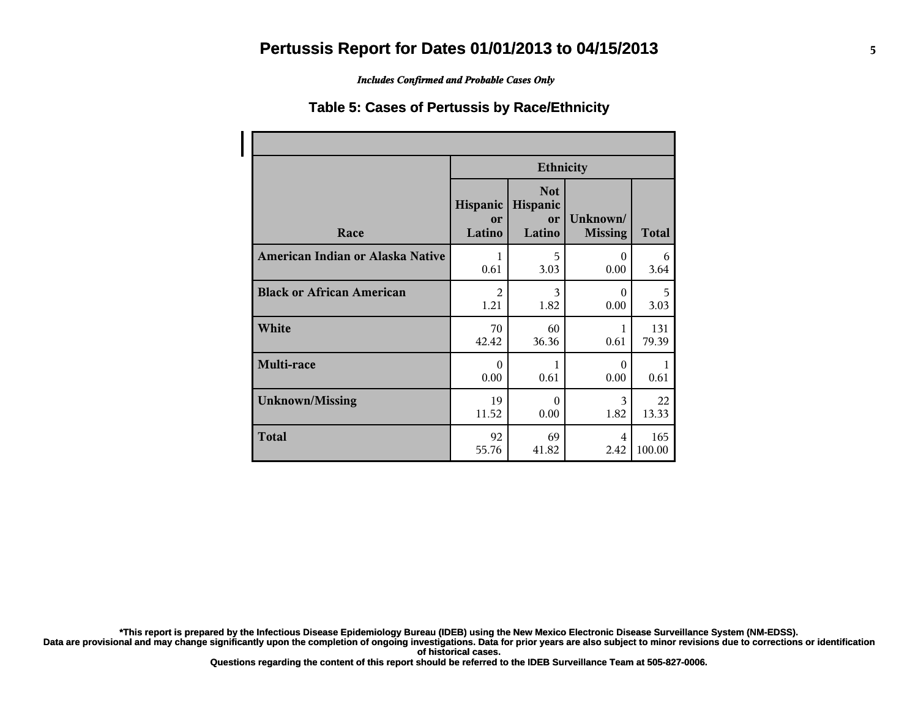*Includes Confirmed and Probable Cases Only*

#### **Table 5: Cases of Pertussis by Race/Ethnicity**

|                                  | <b>Ethnicity</b>         |                                        |                            |        |
|----------------------------------|--------------------------|----------------------------------------|----------------------------|--------|
| Race                             | Hispanic<br>or<br>Latino | <b>Not</b><br>Hispanic<br>or<br>Latino | Unknown/<br><b>Missing</b> | Total  |
| American Indian or Alaska Native | 1                        | 5                                      | $\Omega$                   | 6      |
|                                  | 0.61                     | 3.03                                   | 0.00                       | 3.64   |
| <b>Black or African American</b> | $\mathfrak{D}$           | 3                                      | $\Omega$                   | 5      |
|                                  | 1.21                     | 1.82                                   | 0.00                       | 3.03   |
| White                            | 70                       | 60                                     | 1                          | 131    |
|                                  | 42.42                    | 36.36                                  | 0.61                       | 79.39  |
| Multi-race                       | $\Omega$<br>0.00         | 1<br>0.61                              | $\Omega$<br>0.00           | 0.61   |
| <b>Unknown/Missing</b>           | 19                       | $\Omega$                               | 3                          | 22     |
|                                  | 11.52                    | 0.00                                   | 1.82                       | 13.33  |
| <b>Total</b>                     | 92                       | 69                                     | 4                          | 165    |
|                                  | 55.76                    | 41.82                                  | 2.42                       | 100.00 |

**\*This report is prepared by the Infectious Disease Epidemiology Bureau (IDEB) using the New Mexico Electronic Disease Surveillance System (NM-EDSS).**

**Data are provisional and may change significantly upon the completion of ongoing investigations. Data for prior years are also subject to minor revisions due to corrections or identification of historical cases.**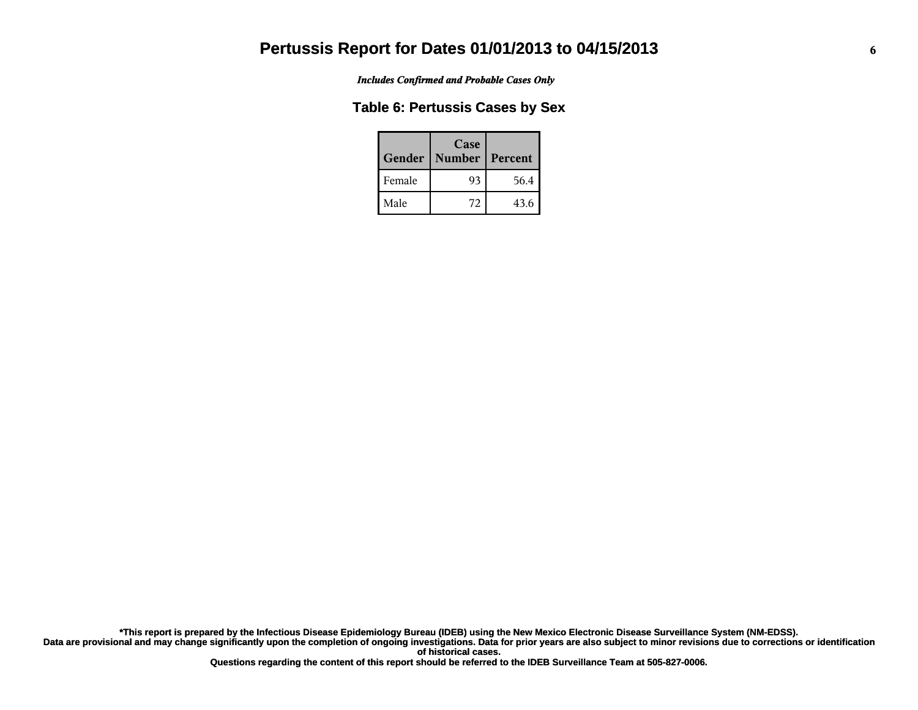*Includes Confirmed and Probable Cases Only*

### **Table 6: Pertussis Cases by Sex**

| Gender | Case<br><b>Number</b> | Percent |
|--------|-----------------------|---------|
| Female | 93                    | 56.4    |
| Male   | 72                    | 43.6    |

**Data are provisional and may change significantly upon the completion of ongoing investigations. Data for prior years are also subject to minor revisions due to corrections or identification of historical cases. \*This report is prepared by the Infectious Disease Epidemiology Bureau (IDEB) using the New Mexico Electronic Disease Surveillance System (NM-EDSS).**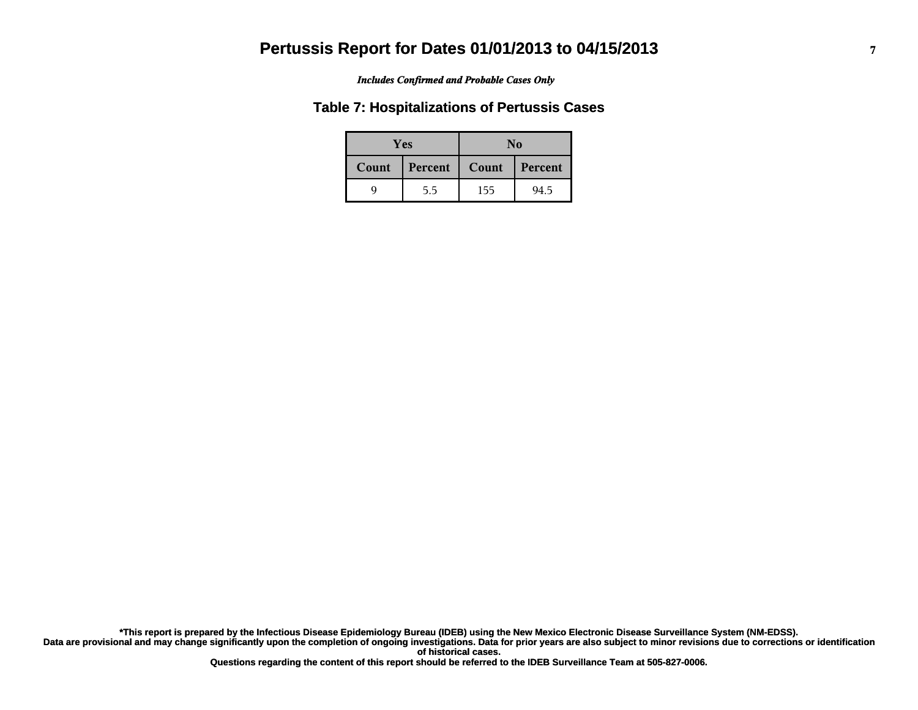#### *Includes Confirmed and Probable Cases Only*

#### **Table 7: Hospitalizations of Pertussis Cases**

|       | <b>Yes</b> |       | No      |
|-------|------------|-------|---------|
| Count | Percent    | Count | Percent |
|       | 5.5        | 155   | 94.5    |

**Data are provisional and may change significantly upon the completion of ongoing investigations. Data for prior years are also subject to minor revisions due to corrections or identification of historical cases. \*This report is prepared by the Infectious Disease Epidemiology Bureau (IDEB) using the New Mexico Electronic Disease Surveillance System (NM-EDSS).**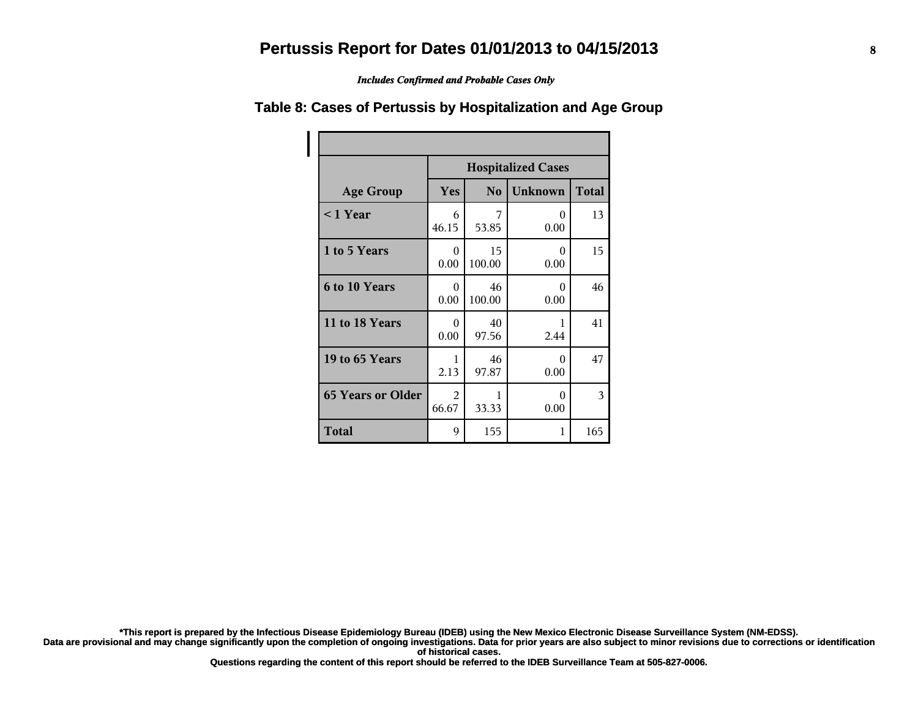*Includes Confirmed and Probable Cases Only*

# **Table 8: Cases of Pertussis by Hospitalization and Age Group**

|                          | <b>Hospitalized Cases</b>                               |              |                  |     |  |  |
|--------------------------|---------------------------------------------------------|--------------|------------------|-----|--|--|
| <b>Age Group</b>         | <b>Unknown</b><br><b>Total</b><br>Yes<br>N <sub>o</sub> |              |                  |     |  |  |
| $< 1$ Year               | 6<br>46.15                                              | 7<br>53.85   | 0<br>0.00        | 13  |  |  |
| 1 to 5 Years             | 0<br>0.00                                               | 15<br>100.00 | $\Omega$<br>0.00 | 15  |  |  |
| 6 to 10 Years            | $\Omega$<br>0.00                                        | 46<br>100.00 | 0<br>0.00        | 46  |  |  |
| 11 to 18 Years           | 0<br>0.00                                               | 40<br>97.56  | 1<br>2.44        | 41  |  |  |
| 19 to 65 Years           | 1<br>2.13                                               | 46<br>97.87  | $\Omega$<br>0.00 | 47  |  |  |
| <b>65 Years or Older</b> | 2<br>66.67                                              | 1<br>33.33   | 0<br>0.00        | 3   |  |  |
| <b>Total</b>             | 9                                                       | 155          | 1                | 165 |  |  |

**\*This report is prepared by the Infectious Disease Epidemiology Bureau (IDEB) using the New Mexico Electronic Disease Surveillance System (NM-EDSS).**

Data are provisional and may change significantly upon the completion of ongoing investigations. Data for prior years are also subject to minor revisions due to corrections or identification **of historical cases.**